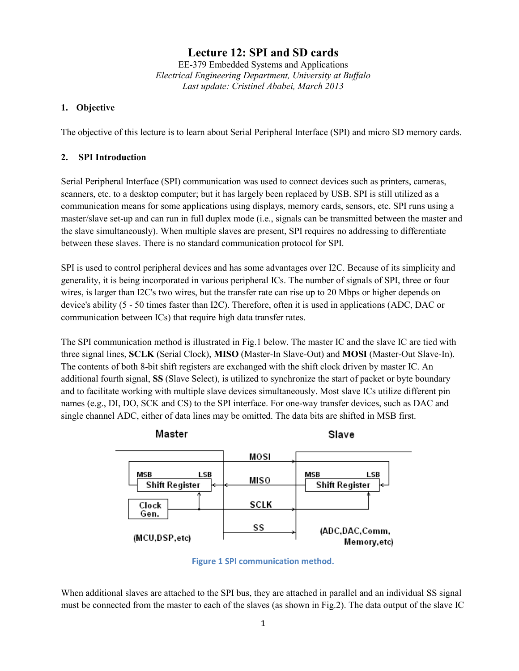# **Lecture 12: SPI and SD cards**

EE-379 Embedded Systems and Applications *Electrical Engineering Department, University at Buffalo Last update: Cristinel Ababei, March 2013*

#### **1. Objective**

The objective of this lecture is to learn about Serial Peripheral Interface (SPI) and micro SD memory cards.

#### **2. SPI Introduction**

Serial Peripheral Interface (SPI) communication was used to connect devices such as printers, cameras, scanners, etc. to a desktop computer; but it has largely been replaced by USB. SPI is still utilized as a communication means for some applications using displays, memory cards, sensors, etc. SPI runs using a master/slave set-up and can run in full duplex mode (i.e., signals can be transmitted between the master and the slave simultaneously). When multiple slaves are present, SPI requires no addressing to differentiate between these slaves. There is no standard communication protocol for SPI.

SPI is used to control peripheral devices and has some advantages over I2C. Because of its simplicity and generality, it is being incorporated in various peripheral ICs. The number of signals of SPI, three or four wires, is larger than I2C's two wires, but the transfer rate can rise up to 20 Mbps or higher depends on device's ability (5 - 50 times faster than I2C). Therefore, often it is used in applications (ADC, DAC or communication between ICs) that require high data transfer rates.

The SPI communication method is illustrated in Fig.1 below. The master IC and the slave IC are tied with three signal lines, **SCLK** (Serial Clock), **MISO** (Master-In Slave-Out) and **MOSI** (Master-Out Slave-In). The contents of both 8-bit shift registers are exchanged with the shift clock driven by master IC. An additional fourth signal, **SS** (Slave Select), is utilized to synchronize the start of packet or byte boundary and to facilitate working with multiple slave devices simultaneously. Most slave ICs utilize different pin names (e.g., DI, DO, SCK and CS) to the SPI interface. For one-way transfer devices, such as DAC and single channel ADC, either of data lines may be omitted. The data bits are shifted in MSB first.



**Figure 1 SPI communication method.**

When additional slaves are attached to the SPI bus, they are attached in parallel and an individual SS signal must be connected from the master to each of the slaves (as shown in Fig.2). The data output of the slave IC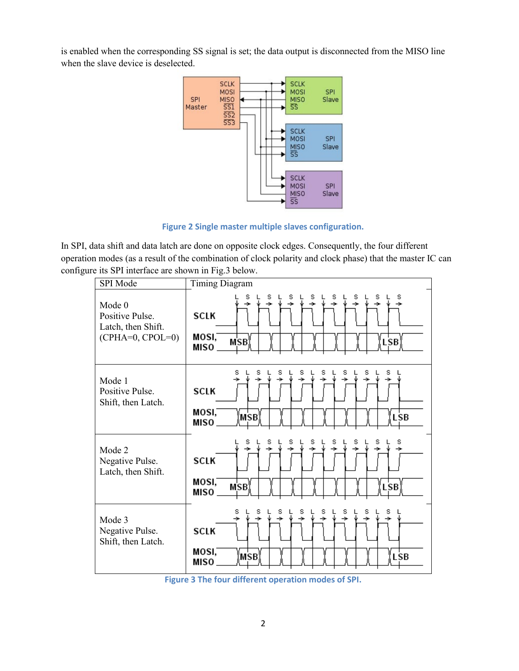is enabled when the corresponding SS signal is set; the data output is disconnected from the MISO line when the slave device is deselected.



**Figure 2 Single master multiple slaves configuration.**

In SPI, data shift and data latch are done on opposite clock edges. Consequently, the four different operation modes (as a result of the combination of clock polarity and clock phase) that the master IC can configure its SPI interface are shown in Fig.3 below.



**Figure 3 The four different operation modes of SPI.**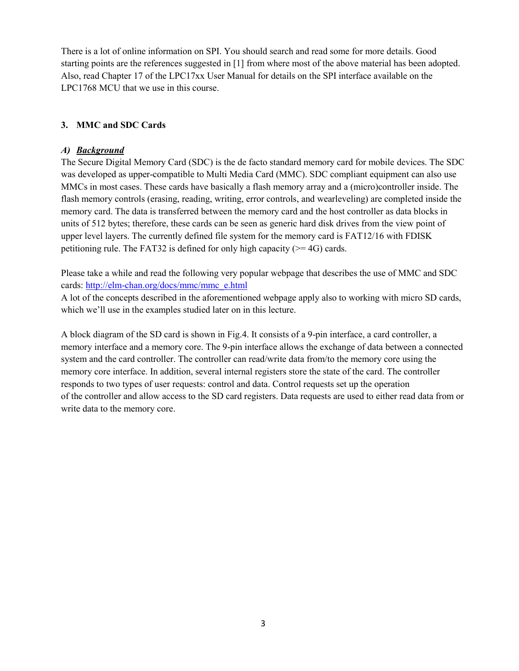There is a lot of online information on SPI. You should search and read some for more details. Good starting points are the references suggested in [1] from where most of the above material has been adopted. Also, read Chapter 17 of the LPC17xx User Manual for details on the SPI interface available on the LPC1768 MCU that we use in this course.

# **3. MMC and SDC Cards**

### *A) Background*

The Secure Digital Memory Card (SDC) is the de facto standard memory card for mobile devices. The SDC was developed as upper-compatible to Multi Media Card (MMC). SDC compliant equipment can also use MMCs in most cases. These cards have basically a flash memory array and a (micro)controller inside. The flash memory controls (erasing, reading, writing, error controls, and wearleveling) are completed inside the memory card. The data is transferred between the memory card and the host controller as data blocks in units of 512 bytes; therefore, these cards can be seen as generic hard disk drives from the view point of upper level layers. The currently defined file system for the memory card is FAT12/16 with FDISK petitioning rule. The FAT32 is defined for only high capacity ( $\geq$ =4G) cards.

Please take a while and read the following very popular webpage that describes the use of MMC and SDC cards: [http://elm-chan.org/docs/mmc/mmc\\_e.html](http://elm-chan.org/docs/mmc/mmc_e.html)

A lot of the concepts described in the aforementioned webpage apply also to working with micro SD cards, which we'll use in the examples studied later on in this lecture.

A block diagram of the SD card is shown in Fig.4. It consists of a 9-pin interface, a card controller, a memory interface and a memory core. The 9-pin interface allows the exchange of data between a connected system and the card controller. The controller can read/write data from/to the memory core using the memory core interface. In addition, several internal registers store the state of the card. The controller responds to two types of user requests: control and data. Control requests set up the operation of the controller and allow access to the SD card registers. Data requests are used to either read data from or write data to the memory core.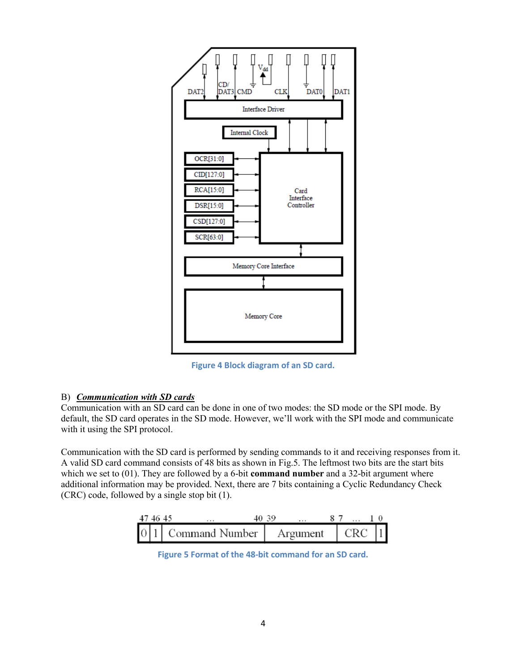

**Figure 4 Block diagram of an SD card.**

### B) *Communication with SD cards*

Communication with an SD card can be done in one of two modes: the SD mode or the SPI mode. By default, the SD card operates in the SD mode. However, we'll work with the SPI mode and communicate with it using the SPI protocol.

Communication with the SD card is performed by sending commands to it and receiving responses from it. A valid SD card command consists of 48 bits as shown in Fig.5. The leftmost two bits are the start bits which we set to (01). They are followed by a 6-bit **command number** and a 32-bit argument where additional information may be provided. Next, there are 7 bits containing a Cyclic Redundancy Check (CRC) code, followed by a single stop bit (1).

| 474645 |                                                      | 40.39 |                                |  |
|--------|------------------------------------------------------|-------|--------------------------------|--|
|        | $\begin{bmatrix} 0 & 1 \end{bmatrix}$ Command Number |       | Argument $\vert$ CRC $\vert$ 1 |  |

**Figure 5 Format of the 48-bit command for an SD card.**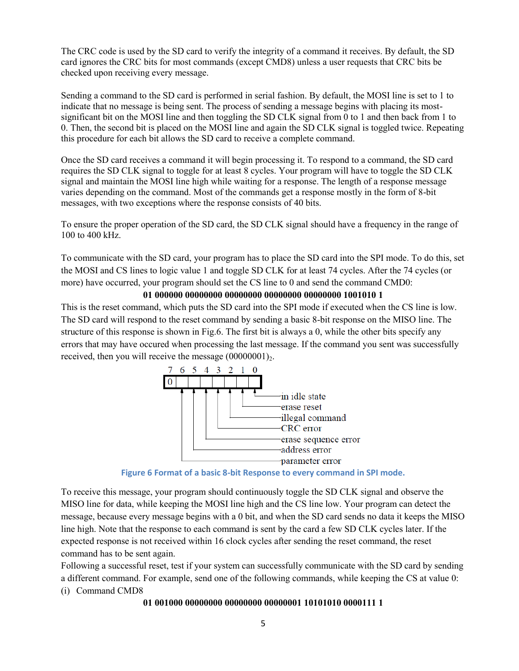The CRC code is used by the SD card to verify the integrity of a command it receives. By default, the SD card ignores the CRC bits for most commands (except CMD8) unless a user requests that CRC bits be checked upon receiving every message.

Sending a command to the SD card is performed in serial fashion. By default, the MOSI line is set to 1 to indicate that no message is being sent. The process of sending a message begins with placing its mostsignificant bit on the MOSI line and then toggling the SD CLK signal from 0 to 1 and then back from 1 to 0. Then, the second bit is placed on the MOSI line and again the SD CLK signal is toggled twice. Repeating this procedure for each bit allows the SD card to receive a complete command.

Once the SD card receives a command it will begin processing it. To respond to a command, the SD card requires the SD CLK signal to toggle for at least 8 cycles. Your program will have to toggle the SD CLK signal and maintain the MOSI line high while waiting for a response. The length of a response message varies depending on the command. Most of the commands get a response mostly in the form of 8-bit messages, with two exceptions where the response consists of 40 bits.

To ensure the proper operation of the SD card, the SD CLK signal should have a frequency in the range of 100 to 400 kHz.

To communicate with the SD card, your program has to place the SD card into the SPI mode. To do this, set the MOSI and CS lines to logic value 1 and toggle SD CLK for at least 74 cycles. After the 74 cycles (or more) have occurred, your program should set the CS line to 0 and send the command CMD0:

#### **01 000000 00000000 00000000 00000000 00000000 1001010 1**

This is the reset command, which puts the SD card into the SPI mode if executed when the CS line is low. The SD card will respond to the reset command by sending a basic 8-bit response on the MISO line. The structure of this response is shown in Fig.6. The first bit is always a 0, while the other bits specify any errors that may have occured when processing the last message. If the command you sent was successfully received, then you will receive the message  $(00000001)_{2}$ .



**Figure 6 Format of a basic 8-bit Response to every command in SPI mode.**

To receive this message, your program should continuously toggle the SD CLK signal and observe the MISO line for data, while keeping the MOSI line high and the CS line low. Your program can detect the message, because every message begins with a 0 bit, and when the SD card sends no data it keeps the MISO line high. Note that the response to each command is sent by the card a few SD CLK cycles later. If the expected response is not received within 16 clock cycles after sending the reset command, the reset command has to be sent again.

Following a successful reset, test if your system can successfully communicate with the SD card by sending a different command. For example, send one of the following commands, while keeping the CS at value 0: (i) Command CMD8

### **01 001000 00000000 00000000 00000001 10101010 0000111 1**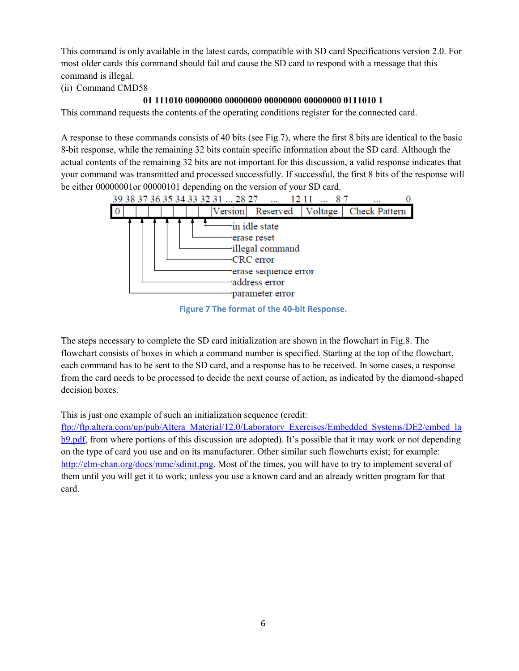This command is only available in the latest cards, compatible with SD card Specifications version 2.0. For most older cards this command should fail and cause the SD card to respond with a message that this command is illegal.

(ii) Command CMD58

# **01 111010 00000000 00000000 00000000 00000000 0111010 1**

This command requests the contents of the operating conditions register for the connected card.

A response to these commands consists of 40 bits (see Fig.7), where the first 8 bits are identical to the basic 8-bit response, while the remaining 32 bits contain specific information about the SD card. Although the actual contents of the remaining 32 bits are not important for this discussion, a valid response indicates that your command was transmitted and processed successfully. If successful, the first 8 bits of the response will be either 00000001or 00000101 depending on the version of your SD card.



**Figure 7 The format of the 40-bit Response.**

The steps necessary to complete the SD card initialization are shown in the flowchart in Fig.8. The flowchart consists of boxes in which a command number is specified. Starting at the top of the flowchart, each command has to be sent to the SD card, and a response has to be received. In some cases, a response from the card needs to be processed to decide the next course of action, as indicated by the diamond-shaped decision boxes.

This is just one example of such an initialization sequence (credit:

[ftp://ftp.altera.com/up/pub/Altera\\_Material/12.0/Laboratory\\_Exercises/Embedded\\_Systems/DE2/embed\\_la](ftp://ftp.altera.com/up/pub/Altera_Material/12.0/Laboratory_Exercises/Embedded_Systems/DE2/embed_lab9.pdf) [b9.pdf,](ftp://ftp.altera.com/up/pub/Altera_Material/12.0/Laboratory_Exercises/Embedded_Systems/DE2/embed_lab9.pdf) from where portions of this discussion are adopted). It's possible that it may work or not depending on the type of card you use and on its manufacturer. Other similar such flowcharts exist; for example: [http://elm-chan.org/docs/mmc/sdinit.png.](http://elm-chan.org/docs/mmc/sdinit.png) Most of the times, you will have to try to implement several of them until you will get it to work; unless you use a known card and an already written program for that card.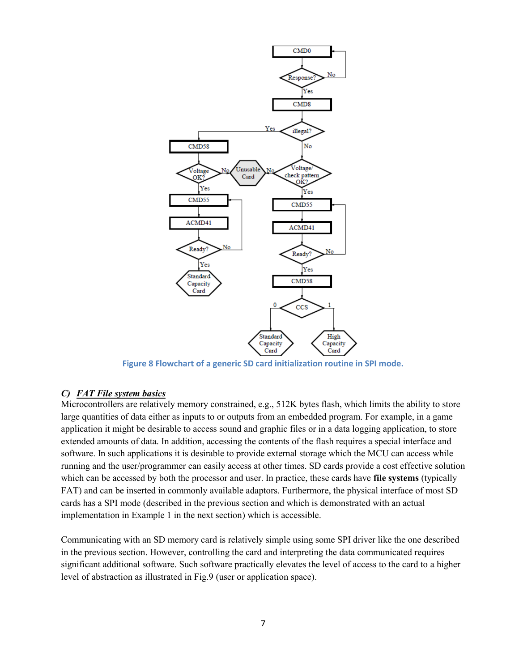

**Figure 8 Flowchart of a generic SD card initialization routine in SPI mode.**

# *C) FAT File system basics*

Microcontrollers are relatively memory constrained, e.g., 512K bytes flash, which limits the ability to store large quantities of data either as inputs to or outputs from an embedded program. For example, in a game application it might be desirable to access sound and graphic files or in a data logging application, to store extended amounts of data. In addition, accessing the contents of the flash requires a special interface and software. In such applications it is desirable to provide external storage which the MCU can access while running and the user/programmer can easily access at other times. SD cards provide a cost effective solution which can be accessed by both the processor and user. In practice, these cards have **file systems** (typically FAT) and can be inserted in commonly available adaptors. Furthermore, the physical interface of most SD cards has a SPI mode (described in the previous section and which is demonstrated with an actual implementation in Example 1 in the next section) which is accessible.

Communicating with an SD memory card is relatively simple using some SPI driver like the one described in the previous section. However, controlling the card and interpreting the data communicated requires significant additional software. Such software practically elevates the level of access to the card to a higher level of abstraction as illustrated in Fig.9 (user or application space).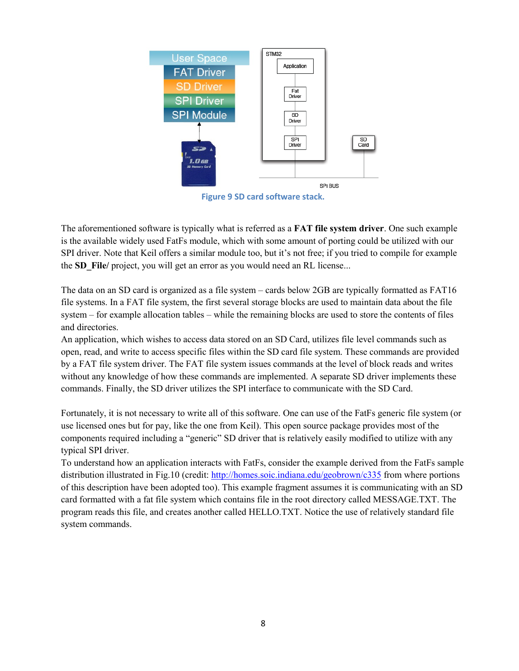

**Figure 9 SD card software stack.**

The aforementioned software is typically what is referred as a **FAT file system driver**. One such example is the available widely used FatFs module, which with some amount of porting could be utilized with our SPI driver. Note that Keil offers a similar module too, but it's not free; if you tried to compile for example the **SD** File/ project, you will get an error as you would need an RL license...

The data on an SD card is organized as a file system – cards below 2GB are typically formatted as FAT16 file systems. In a FAT file system, the first several storage blocks are used to maintain data about the file system – for example allocation tables – while the remaining blocks are used to store the contents of files and directories.

An application, which wishes to access data stored on an SD Card, utilizes file level commands such as open, read, and write to access specific files within the SD card file system. These commands are provided by a FAT file system driver. The FAT file system issues commands at the level of block reads and writes without any knowledge of how these commands are implemented. A separate SD driver implements these commands. Finally, the SD driver utilizes the SPI interface to communicate with the SD Card.

Fortunately, it is not necessary to write all of this software. One can use of the FatFs generic file system (or use licensed ones but for pay, like the one from Keil). This open source package provides most of the components required including a "generic" SD driver that is relatively easily modified to utilize with any typical SPI driver.

To understand how an application interacts with FatFs, consider the example derived from the FatFs sample distribution illustrated in Fig.10 (credit:<http://homes.soic.indiana.edu/geobrown/c335> from where portions of this description have been adopted too). This example fragment assumes it is communicating with an SD card formatted with a fat file system which contains file in the root directory called MESSAGE.TXT. The program reads this file, and creates another called HELLO.TXT. Notice the use of relatively standard file system commands.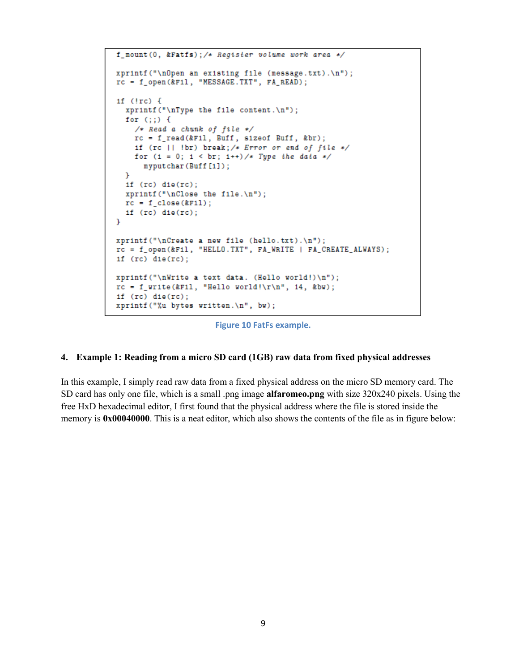```
f_mount(0, &Fatfs);/* Register volume work area */
xprintf("\nOpen an existing file (message.txt).\n");
rc = f_open(&Fil, "MESSAGE.TXT", FA_READ);
1f (lrc) {
  xprintf("\nType the file content.\n");
  for (;;) {
    /* Read a chunk of file */
    rc = f_{read}(&F11, Butf, sizeof Buff, & br);if (rc || !br) break; /* Error or end of file */
    for (1 = 0; 1 < br; 1++)/* Type the data */myputchar(Buff[1]);
  x
  if (rc) die(rc);xprintf("\nClose the file.\n");
 rc = f_{close}(kF11);if (rc) die(rc);\mathbf{r}xprintf("\nCreate a new file (hello.txt).\n");
rc = f_open(&F11, "HELLO.TXT", FA_WRITE | FA_CREATE_ALWAYS);
if (rc) die(rc);xprintf("\nWrite a text data. (Hello world!)\n");
rc = f_write(kF11, "Hello world! \r\n', 14, kbw);if (rc) die(rc);xprintf("%u bytes written.\n", bw);
```
**Figure 10 FatFs example.**

#### **4. Example 1: Reading from a micro SD card (1GB) raw data from fixed physical addresses**

In this example, I simply read raw data from a fixed physical address on the micro SD memory card. The SD card has only one file, which is a small .png image **alfaromeo.png** with size 320x240 pixels. Using the free HxD hexadecimal editor, I first found that the physical address where the file is stored inside the memory is **0x00040000**. This is a neat editor, which also shows the contents of the file as in figure below: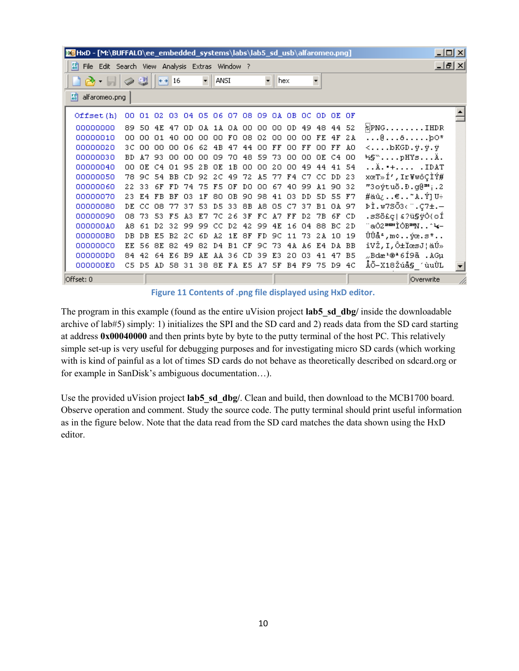| <b>M</b> HxD - [M:\BUFFALO\ee_embedded_systems\labs\lab5_sd_usb\alfaromeo.png] |            |                                                |      |      |                |           |                         |     |                |                |      |                      | 그미지        |            |     |             |          |           |                                                                                                                                                        |  |
|--------------------------------------------------------------------------------|------------|------------------------------------------------|------|------|----------------|-----------|-------------------------|-----|----------------|----------------|------|----------------------|------------|------------|-----|-------------|----------|-----------|--------------------------------------------------------------------------------------------------------------------------------------------------------|--|
|                                                                                | 581        | File Edit Search View Analysis Extras Window ? |      |      |                |           |                         |     |                |                |      |                      |            | <u>니레지</u> |     |             |          |           |                                                                                                                                                        |  |
|                                                                                |            |                                                |      | 냏    |                | $+$ + 16  |                         | ÷   | ANSI           |                |      | $\blacktriangledown$ | <b>hex</b> |            |     |             |          |           |                                                                                                                                                        |  |
|                                                                                | 關          | alfaromeo.png                                  |      |      |                |           |                         |     |                |                |      |                      |            |            |     |             |          |           |                                                                                                                                                        |  |
|                                                                                | Offset (h) |                                                | 00.  |      | 01 02          |           | 03 04 05 06 07 08 09    |     |                |                |      |                      |            | OA OB OC   |     | OD OE OF    |          |           |                                                                                                                                                        |  |
|                                                                                | 00000000   |                                                | 89   | 50   | 4E             | 47        | OD.                     | ОA  |                | 1A OA          | -00- | -00                  | -00        | OD.        |     | 49 48 44 52 |          |           | $\mathbb{R}$ PNGIHDR                                                                                                                                   |  |
|                                                                                | 00000010   |                                                | ΩO   | nn   | O1.            | 40.       | .nn                     | 00  | 00.            | FO             | 08   | 02                   | 00         | 00         | 00  | FE 4F       |          | 2 A       | $\ldots 0 \ldots 0 \ldots$                                                                                                                             |  |
|                                                                                | 00000020   |                                                | зс   | nn   | nn             | nn.       | 06                      | 62  | 4B             | 47             | 44   | nn                   | FF         | 00         | FF  | 00.         | FF       | AO.       | <bkgd.ÿ.ÿ.ÿ< th=""><th></th></bkgd.ÿ.ÿ.ÿ<>                                                                                                             |  |
|                                                                                | 00000030   |                                                | BD.  | 17   | 93.            | nn.       | .nn                     | nn  | n9             | 70.            | 48   | 59                   | 73         | nn         | oο  | OE.         | C4.      | 00        | ks pHYs Ä.                                                                                                                                             |  |
|                                                                                | 00000040   |                                                | nn   | OE.  | C4             | O 1.      | 95                      | 2B  | OΕ             | 1B             | 00   | nn                   | 20         | 00         | 49  | 44          | 41       | -54       | $\ldots$ $\lambda$ . $+$ $\ldots$ $\ldots$ $\ldots$ $\ldots$ $\ldots$ $\ldots$ $\ldots$ $\ldots$ $\ldots$ $\ldots$ $\ldots$ $\ldots$ $\ldots$ $\ldots$ |  |
|                                                                                | 00000050   |                                                | 78   | 9C.  | -54            | BB.       | CD.                     | 92  | 2C             | -49            | 72   | A5                   | 77         | F4         | C7  | CC.         | DD.      | 23        | xœT»Í',Ir¥wôÇÌÝ#                                                                                                                                       |  |
|                                                                                | 00000060   |                                                | 22.  | -33. | 6F             | FD.       | 74                      | 75  | F5.            | ΩF             | DO   | 00.                  | 67         | 40.        | 99  | A 1         | -90      | -32       | "3oýtuõ.Đ.g@™;.2                                                                                                                                       |  |
|                                                                                | 00000070   |                                                | 23.  | F4   | FB             | BF        | O3                      | 1 F | 80             | ΩB             | 90.  | 98                   | 41         | -03        | DD. | 5D.         | 55       | F7        | #äû¿€~A.Ý]U÷                                                                                                                                           |  |
|                                                                                | 00000080   |                                                | DE   | -CC. | nа             | 77        | 37                      | 53. | D.5            | 33             | 8B   | A8.                  | 05         | C7.        | 37  | B 1         | OA.      | 97        | ÞÌ.w7SŐ3‹¨.Ç7±.—                                                                                                                                       |  |
|                                                                                | 00000090   |                                                | 08   | 73.  | 53.            | F 5       | 43.                     | E7  | 7C.            | 26             | 3 F  | FC                   | A7         | FF         | D2  | 7В          | 6F       | CD        | .sSö£ç &?ü§ÿÒ{oÍ                                                                                                                                       |  |
|                                                                                | 000000A0   |                                                | À8   | 61.  | D <sub>2</sub> | 32        | -99                     | -99 | CC.            | D <sub>2</sub> | 42   | 99                   | 4E         | 16         | 04  | 88          | BC.      | 2 D       | ~aÒ2™™ÌÒB™N^Կ−                                                                                                                                         |  |
|                                                                                | 000000B0   |                                                | DB.  | DB.  | E.5            | <b>B2</b> | 2C                      | -6D | Α2             | 1 E            | 8F   | FD.                  | 9C.        | 11         | 73. | 2A 10       |          | 19        | ÛÛå≗,m≎ýœ.s*                                                                                                                                           |  |
|                                                                                | 000000C0   |                                                | F.F. | 56.  | 8E             | 82        | 49                      | 82  | D <sub>4</sub> | <b>B1</b>      | CF   | 9C                   | 73         | 4 A        | A6  |             | E4 DA    | <b>BB</b> | îVŽ,I,ԱϜsJ¦äÚ»                                                                                                                                         |  |
|                                                                                | 000000D0   |                                                | 84.  | -42  | 64.            | E 6.      | B9                      | AE  |                | AA 36          | CD.  | -39                  | E3.        | 20.        | 03  | 41 47       |          | B5        | "Bd檮ª6Í9ã .AGµ                                                                                                                                         |  |
|                                                                                | 000000E0   |                                                | C5.  | D5   | AD.            |           | 58 31 38 8E FA E5 A7 5F |     |                |                |      |                      |            | B4 F9      |     |             | 75 D9 4C |           | ÅÕ-X18Žúå§_′ùuÙL                                                                                                                                       |  |
| Offset: 0                                                                      |            |                                                |      |      |                |           |                         |     |                |                |      |                      |            |            |     |             |          | Overwrite |                                                                                                                                                        |  |

**Figure 11 Contents of .png file displayed using HxD editor.**

The program in this example (found as the entire uVision project **lab5\_sd\_dbg/** inside the downloadable archive of lab#5) simply: 1) initializes the SPI and the SD card and 2) reads data from the SD card starting at address **0x00040000** and then prints byte by byte to the putty terminal of the host PC. This relatively simple set-up is very useful for debugging purposes and for investigating micro SD cards (which working with is kind of painful as a lot of times SD cards do not behave as theoretically described on sdcard.org or for example in SanDisk's ambiguous documentation…).

Use the provided uVision project **lab5** sd dbg/. Clean and build, then download to the MCB1700 board. Observe operation and comment. Study the source code. The putty terminal should print useful information as in the figure below. Note that the data read from the SD card matches the data shown using the HxD editor.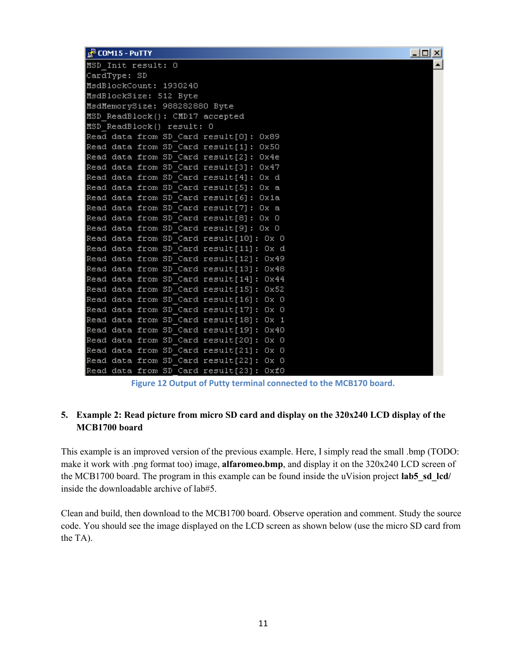| <b>E</b> CUPILS - PUT IT                | ᆜᆜᅀᆜ |
|-----------------------------------------|------|
| MSD Init result: 0                      |      |
| CardType: SD                            |      |
| MsdBlockCount: 1930240                  |      |
| MsdBlockSize: 512 Byte                  |      |
| MsdMemorySize: 988282880 Byte           |      |
| MSD ReadBlock(): CMD17 accepted         |      |
| MSD ReadBlock() result: 0               |      |
| Read data from SD Card result[0]: 0x89  |      |
| Read data from SD Card result[1]: 0x50  |      |
| Read data from SD Card result[2]: Ox4e  |      |
| Read data from SD Card result[3]: 0x47  |      |
| Read data from SD Card result[4]: Ox d  |      |
| Read data from SD Card result[5]: Ox a  |      |
| Read data from SD Card result[6]: Ox1a  |      |
| Read data from SD Card result[7]: Ox a  |      |
| Read data from SD Card result[8]: Ox O  |      |
| Read data from SD Card result[9]: Ox O  |      |
| Read data from SD Card result[10]: Ox O |      |
| Read data from SD Card result[11]: Ox d |      |
| Read data from SD Card result[12]: 0x49 |      |
| Read data from SD Card result[13]: 0x48 |      |
| Read data from SD Card result[14]: 0x44 |      |
| Read data from SD Card result[15]: 0x52 |      |
| Read data from SD Card result[16]: Ox O |      |
| Read data from SD Card result[17]: Ox O |      |
| Read data from SD Card result[18]: Ox 1 |      |
| Read data from SD Card result[19]: 0x40 |      |
| Read data from SD Card result[20]: Ox O |      |
| Read data from SD Card result[21]: Ox O |      |
| Read data from SD Card result[22]: Ox O |      |
| Read data from SD Card result[23]: OxfO |      |

 $-$  test set

**Figure 12 Output of Putty terminal connected to the MCB170 board.**

# **5. Example 2: Read picture from micro SD card and display on the 320x240 LCD display of the MCB1700 board**

This example is an improved version of the previous example. Here, I simply read the small .bmp (TODO: make it work with .png format too) image, **alfaromeo.bmp**, and display it on the 320x240 LCD screen of the MCB1700 board. The program in this example can be found inside the uVision project **lab5\_sd\_lcd/** inside the downloadable archive of lab#5.

Clean and build, then download to the MCB1700 board. Observe operation and comment. Study the source code. You should see the image displayed on the LCD screen as shown below (use the micro SD card from the TA).